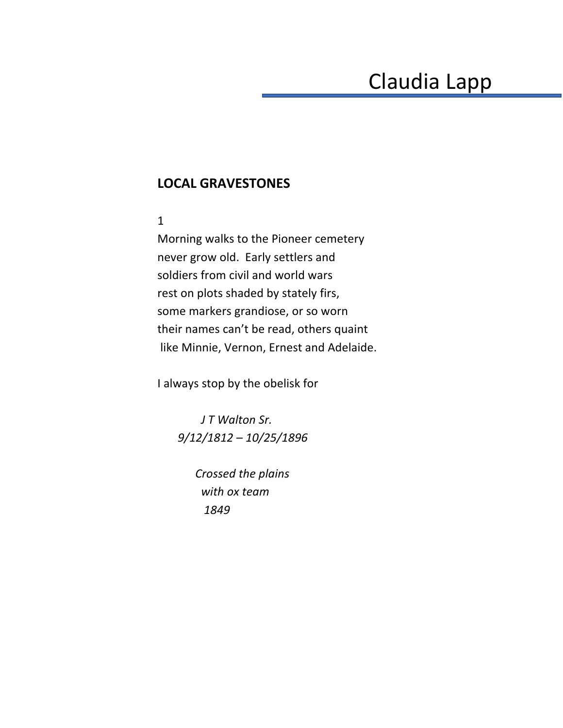## Claudia Lapp

## **LOCAL GRAVESTONES**

## 1

Morning walks to the Pioneer cemetery never grow old. Early settlers and soldiers from civil and world wars rest on plots shaded by stately firs, some markers grandiose, or so worn their names can't be read, others quaint like Minnie, Vernon, Ernest and Adelaide.

I always stop by the obelisk for

 *J T Walton Sr. 9/12/1812 – 10/25/1896*

> *Crossed the plains with ox team 1849*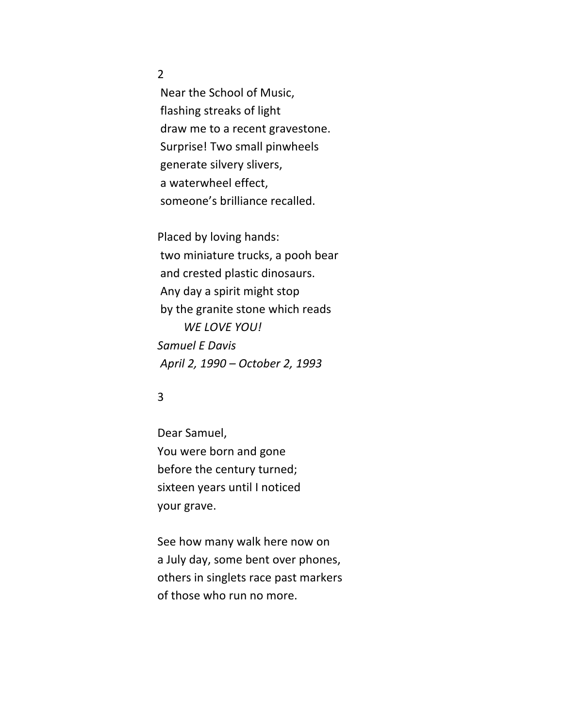2

Near the School of Music, flashing streaks of light draw me to a recent gravestone. Surprise! Two small pinwheels generate silvery slivers, a waterwheel effect, someone's brilliance recalled.

Placed by loving hands: two miniature trucks, a pooh bear and crested plastic dinosaurs. Any day a spirit might stop by the granite stone which reads *WE LOVE YOU! Samuel E Davis April 2, 1990 – October 2, 1993* 

## 3

Dear Samuel, You were born and gone before the century turned; sixteen years until I noticed your grave.

See how many walk here now on a July day, some bent over phones, others in singlets race past markers of those who run no more.